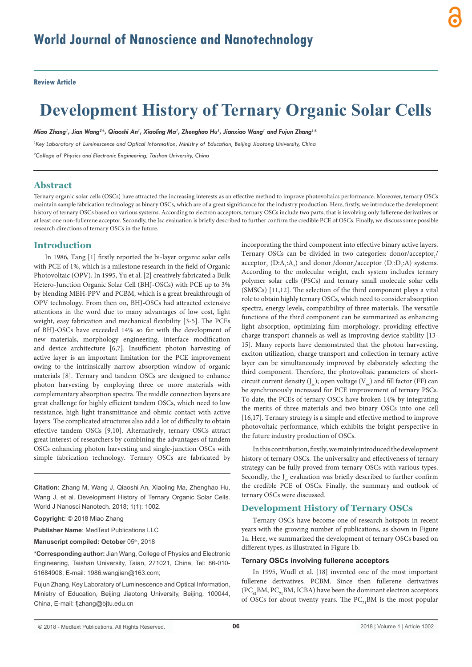**Review Article**

# **Development History of Ternary Organic Solar Cells**

*Miao Zhang1 , Jian Wang2 \*, Qiaoshi An1 , Xiaoling Ma1 , Zhenghao Hu1 , Jianxiao Wang1 and Fujun Zhang1 \**

*1 Key Laboratory of Luminescence and Optical Information, Ministry of Education, Beijing Jiaotong University, China 2 College of Physics and Electronic Engineering, Taishan University, China*

# **Abstract**

Ternary organic solar cells (OSCs) have attracted the increasing interests as an effective method to improve photovoltaics performance. Moreover, ternary OSCs maintain sample fabrication technology as binary OSCs, which are of a great significance for the industry production. Here, firstly, we introduce the development history of ternary OSCs based on various systems. According to electron acceptors, ternary OSCs include two parts, that is involving only fullerene derivatives or at least one non-fullerene acceptor. Secondly, the Jsc evaluation is briefly described to further confirm the credible PCE of OSCs. Finally, we discuss some possible research directions of ternary OSCs in the future.

# **Introduction**

In 1986, Tang [1] firstly reported the bi-layer organic solar cells with PCE of 1%, which is a milestone research in the field of Organic Photovoltaic (OPV). In 1995, Yu et al. [2] creatively fabricated a Bulk Hetero-Junction Organic Solar Cell (BHJ-OSCs) with PCE up to 3% by blending MEH-PPV and PCBM, which is a great breakthrough of OPV technology. From then on, BHJ-OSCs had attracted extensive attentions in the word due to many advantages of low cost, light weight, easy fabrication and mechanical flexibility [3-5]. The PCEs of BHJ-OSCs have exceeded 14% so far with the development of new materials, morphology engineering, interface modification and device architecture [6,7]. Insufficient photon harvesting of active layer is an important limitation for the PCE improvement owing to the intrinsically narrow absorption window of organic materials [8]. Ternary and tandem OSCs are designed to enhance photon harvesting by employing three or more materials with complementary absorption spectra. The middle connection layers are great challenge for highly efficient tandem OSCs, which need to low resistance, high light transmittance and ohmic contact with active layers. The complicated structures also add a lot of difficulty to obtain effective tandem OSCs [9,10]. Alternatively, ternary OSCs attract great interest of researchers by combining the advantages of tandem OSCs enhancing photon harvesting and single-junction OSCs with simple fabrication technology. Ternary OSCs are fabricated by

**Citation:** Zhang M, Wang J, Qiaoshi An, Xiaoling Ma, Zhenghao Hu, Wang J, et al. Development History of Ternary Organic Solar Cells. World J Nanosci Nanotech. 2018; 1(1): 1002.

**Copyright:** © 2018 Miao Zhang

**Publisher Name**: MedText Publications LLC

**Manuscript compiled: October** 05th, 2018

**\*Corresponding author:** Jian Wang, College of Physics and Electronic Engineering, Taishan University, Taian, 271021, China, Tel: 86-010- 51684908; E-mail: 1986.wangjian@163.com;

Fujun Zhang, Key Laboratory of Luminescence and Optical Information, Ministry of Education, Beijing Jiaotong University, Beijing, 100044, China, E-mail: fjzhang@bjtu.edu.cn

incorporating the third component into effective binary active layers. Ternary OSCs can be divided in two categories: donor/acceptor $_1$ / acceptor<sub>2</sub> (D:A<sub>1</sub>:A<sub>2</sub>) and donor<sub>1</sub>/donor<sub>2</sub>/acceptor (D<sub>1</sub>:D<sub>2</sub>:A) systems. According to the molecular weight, each system includes ternary polymer solar cells (PSCs) and ternary small molecule solar cells (SMSCs) [11,12]. The selection of the third component plays a vital role to obtain highly ternary OSCs, which need to consider absorption spectra, energy levels, compatibility of three materials. The versatile functions of the third component can be summarized as enhancing light absorption, optimizing film morphology, providing effective charge transport channels as well as improving device stability [13- 15]. Many reports have demonstrated that the photon harvesting, exciton utilization, charge transport and collection in ternary active layer can be simultaneously improved by elaborately selecting the third component. Therefore, the photovoltaic parameters of shortcircuit current density  $(J_{\infty})$ ; open voltage  $(V_{\infty})$  and fill factor (FF) can be synchronously increased for PCE improvement of ternary PSCs. To date, the PCEs of ternary OSCs have broken 14% by integrating the merits of three materials and two binary OSCs into one cell [16,17]. Ternary strategy is a simple and effective method to improve photovoltaic performance, which exhibits the bright perspective in the future industry production of OSCs.

In this contribution, firstly, we mainly introduced the development history of ternary OSCs. The universality and effectiveness of ternary strategy can be fully proved from ternary OSCs with various types. Secondly, the  $J_{\rm sc}$  evaluation was briefly described to further confirm the credible PCE of OSCs. Finally, the summary and outlook of ternary OSCs were discussed.

## **Development History of Ternary OSCs**

Ternary OSCs have become one of research hotspots in recent years with the growing number of publications, as shown in Figure 1a. Here, we summarized the development of ternary OSCs based on different types, as illustrated in Figure 1b.

#### **Ternary OSCs involving fullerene acceptors**

In 1995, Wudl et al. [18] invented one of the most important fullerene derivatives, PCBM. Since then fullerene derivatives  $(PC_{c}$ , BM,  $PC_{7}$ , BM, ICBA) have been the dominant electron acceptors of OSCs for about twenty years. The  $PC_{71}$ BM is the most popular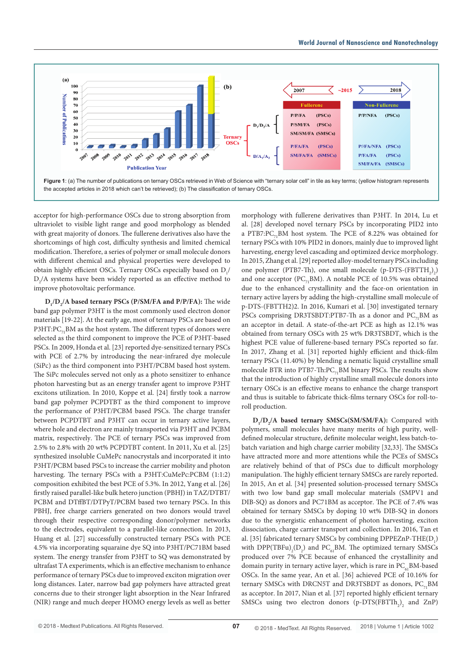

acceptor for high-performance OSCs due to strong absorption from ultraviolet to visible light range and good morphology as blended with great majority of donors. The fullerene derivatives also have the shortcomings of high cost, difficulty synthesis and limited chemical modification. Therefore, a series of polymer or small molecule donors with different chemical and physical properties were developed to obtain highly efficient OSCs. Ternary OSCs especially based on  $D_1/$  $D_2/A$  systems have been widely reported as an effective method to improve photovoltaic performance.

**D**<sub>1</sub>/**D**<sub>2</sub>/**A** based ternary PSCs (P/SM/FA and P/P/FA): The wide band gap polymer P3HT is the most commonly used electron donor materials [19-22]. At the early age, most of ternary PSCs are based on P3HT:PC<sub>7</sub>, BM as the host system. The different types of donors were selected as the third component to improve the PCE of P3HT-based PSCs. In 2009, Honda et al. [23] reported dye-sensitized ternary PSCs with PCE of 2.7% by introducing the near-infrared dye molecule (SiPc) as the third component into P3HT/PCBM based host system. The SiPc molecules served not only as a photo sensitizer to enhance photon harvesting but as an energy transfer agent to improve P3HT excitons utilization. In 2010, Koppe et al. [24] firstly took a narrow band gap polymer PCPDTBT as the third component to improve the performance of P3HT/PCBM based PSCs. The charge transfer between PCPDTBT and P3HT can occur in ternary active layers, where hole and electron are mainly transported via P3HT and PCBM matrix, respectively. The PCE of ternary PSCs was improved from 2.5% to 2.8% with 20 wt% PCPDTBT content. In 2011, Xu et al. [25] synthesized insoluble CuMePc nanocrystals and incorporated it into P3HT/PCBM based PSCs to increase the carrier mobility and photon harvesting. The ternary PSCs with a P3HT:CuMePc:PCBM (1:1:2) composition exhibited the best PCE of 5.3%. In 2012, Yang et al. [26] firstly raised parallel-like bulk hetero junction (PBHJ) in TAZ/DTBT/ PCBM and DTffBT/DTPyT/PCBM based two ternary PSCs. In this PBHJ, free charge carriers generated on two donors would travel through their respective corresponding donor/polymer networks to the electrodes, equivalent to a parallel-like connection. In 2013, Huang et al. [27] successfully constructed ternary PSCs with PCE 4.5% via incorporating squaraine dye SQ into P3HT/PC71BM based system. The energy transfer from P3HT to SQ was demonstrated by ultrafast TA experiments, which is an effective mechanism to enhance performance of ternary PSCs due to improved exciton migration over long distances. Later, narrow bad gap polymers have attracted great concerns due to their stronger light absorption in the Near Infrared (NIR) range and much deeper HOMO energy levels as well as better

morphology with fullerene derivatives than P3HT. In 2014, Lu et al. [28] developed novel ternary PSCs by incorporating PID2 into a PTB7:PC<sub>7</sub>, BM host system. The PCE of 8.22% was obtained for ternary PSCs with 10% PID2 in donors, mainly due to improved light harvesting, energy level cascading and optimized device morphology. In 2015, Zhang et al. [29] reported alloy-model ternary PSCs including one polymer (PTB7-Th), one small molecule  $(p-DTS-(FBTTH_2)_2)$ and one acceptor ( $PC_{71}BM$ ). A notable PCE of 10.5% was obtained due to the enhanced crystallinity and the face-on orientation in ternary active layers by adding the high-crystalline small molecule of p-DTS-(FBTTH2)2. In 2016, Kumari et al. [30] investigated ternary PSCs comprising DR3TSBDT:PTB7-Th as a donor and PC<sub>71</sub>BM as an acceptor in detail. A state-of-the-art PCE as high as 12.1% was obtained from ternary OSCs with 25 wt% DR3TSBDT, which is the highest PCE value of fullerene-based ternary PSCs reported so far. In 2017, Zhang et al. [31] reported highly efficient and thick-film ternary PSCs (11.40%) by blending a nematic liquid crystalline small molecule BTR into PTB7-Th: $PC_{71}$ BM binary PSCs. The results show that the introduction of highly crystalline small molecule donors into ternary OSCs is an effective means to enhance the charge transport and thus is suitable to fabricate thick-films ternary OSCs for roll-toroll production.

**D**<sub>1</sub>/**D**<sub>2</sub>/**A** based ternary SMSCs(SM/SM/FA): Compared with polymers, small molecules have many merits of high purity, welldefined molecular structure, definite molecular weight, less batch-tobatch variation and high charge carrier mobility [32,33]. The SMSCs have attracted more and more attentions while the PCEs of SMSCs are relatively behind of that of PSCs due to difficult morphology manipulation. The highly efficient ternary SMSCs are rarely reported. In 2015, An et al. [34] presented solution-processed ternary SMSCs with two low band gap small molecular materials (SMPV1 and DIB-SQ) as donors and PC71BM as acceptor. The PCE of 7.4% was obtained for ternary SMSCs by doping 10 wt% DIB-SQ in donors due to the synergistic enhancement of photon harvesting, exciton dissociation, charge carrier transport and collection. In 2016, Tan et al. [35] fabricated ternary SMSCs by combining  $DPPEZnP-THE(D_1)$ with  $DPP(TBFu)_{2}(D_{2})$  and  $PC_{61}BM$ . The optimized ternary SMSCs produced over 7% PCE because of enhanced the crystallinity and domain purity in ternary active layer, which is rare in  $PC_{61}$ BM-based OSCs. In the same year, An et al. [36] achieved PCE of 10.16% for ternary SMSCs with DRCN5T and DR3TSBDT as donors,  $PC_{7}$ BM as acceptor. In 2017, Nian et al. [37] reported highly efficient ternary SMSCs using two electron donors  $(p-DTS(FBTTh_2)_2)$  and  $ZnP$ )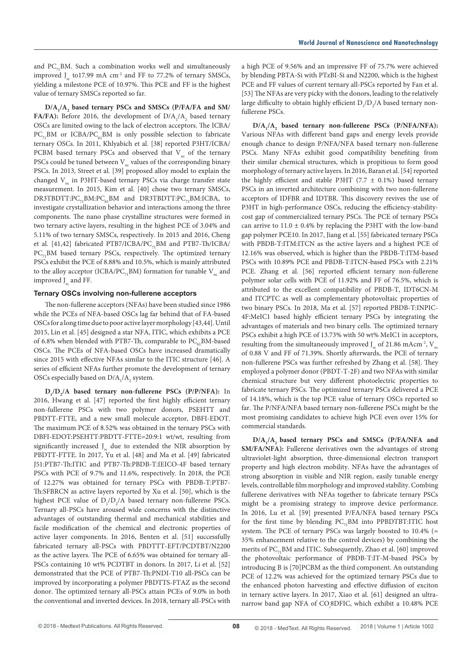and  $PC_{71}$ BM. Such a combination works well and simultaneously improved  $J_c$  to17.99 mA cm<sup>-2</sup> and FF to 77.2% of ternary SMSCs, yielding a milestone PCE of 10.97%. This PCE and FF is the highest value of ternary SMSCs reported so far.

**D/A1 /A2 based ternary PSCs and SMSCs (P/FA/FA and SM/ FA/FA):** Before 2016, the development of  $D/A_1/A_2$  based ternary OSCs are limited owing to the lack of electron acceptors. The ICBA/  $PC_{71}$ BM or ICBA/PC<sub>61</sub>BM is only possible selection to fabricate ternary OSCs. In 2011, Khlyabich et al. [38] reported P3HT/ICBA/ PCBM based ternary PSCs and observed that  $V_{oc}$  of the ternary PSCs could be tuned between  $V_{\alpha}$  values of the corresponding binary PSCs. In 2013, Street et al. [39] proposed alloy model to explain the changed  $V<sub>oc</sub>$  in P3HT-based ternary PSCs via charge transfer state measurement. In 2015, Kim et al. [40] chose two ternary SMSCs,  $DR3TBDTT:PC_{71}BM:PC_{61}BM$  and  $DR3TBDTT:PC_{71}BM:ICBA$ , to investigate crystallization behavior and interactions among the three components. The nano phase crystalline structures were formed in two ternary active layers, resulting in the highest PCE of 3.04% and 5.11% of two ternary SMSCs, respectively. In 2015 and 2016, Cheng et al. [41,42] fabricated PTB7/ICBA/PC<sub>71</sub>BM and PTB7-Th/ICBA/  $PC_{71}$ BM based ternary PSCs, respectively. The optimized ternary PSCs exhibit the PCE of 8.88% and 10.5%, which is mainly attributed to the alloy acceptor (ICBA/PC<sub>71</sub>BM) formation for tunable  $V_{\alpha}$  and improved J<sub>sc</sub> and FF.

#### **Ternary OSCs involving non-fullerene acceptors**

The non-fullerene acceptors (NFAs) have been studied since 1986 while the PCEs of NFA-based OSCs lag far behind that of FA-based OSCs for a long time due to poor active layer morphology [43,44]. Until 2015, Lin et al. [45] designed a star NFA, ITIC, which exhibits a PCE of 6.8% when blended with PTB7-Th, comparable to  $PC_{61}BM$ -based OSCs. The PCEs of NFA-based OSCs have increased dramatically since 2015 with effective NFAs similar to the ITIC structure [46]. A series of efficient NFAs further promote the development of ternary OSCs especially based on  $D/A<sub>1</sub>/A<sub>2</sub>$  system.

**D**<sub>1</sub>/**D**<sub>2</sub>/**A** based ternary non-fullerene PSCs (P/P/NFA): In 2016, Hwang et al. [47] reported the first highly efficient ternary non-fullerene PSCs with two polymer donors, PSEHTT and PBDTT-FTTE, and a new small molecule acceptor, DBFI-EDOT. The maximum PCE of 8.52% was obtained in the ternary PSCs with DBFI-EDOT:PSEHTT:PBDTT-FTTE=20:9:1 wt/wt, resulting from significantly increased  $J<sub>s</sub>$  due to extended the NIR absorption by PBDTT-FTTE. In 2017, Yu et al. [48] and Ma et al. [49] fabricated J51:PTB7-Th:ITIC and PTB7-Th:PBDB-T:IEICO-4F based ternary PSCs with PCE of 9.7% and 11.6%, respectively. In 2018, the PCE of 12.27% was obtained for ternary PSCs with PBDB-T:PTB7- Th:SFBRCN as active layers reported by Xu et al. [50], which is the highest PCE value of  $D_1/D_2/A$  based ternary non-fullerene PSCs. Ternary all-PSCs have aroused wide concerns with the distinctive advantages of outstanding thermal and mechanical stabilities and facile modification of the chemical and electronic properties of active layer components. In 2016, Benten et al. [51] successfully fabricated ternary all-PSCs with PBDTTT-EFT/PCDTBT/N2200 as the active layers. The PCE of 6.65% was obtained for ternary all-PSCs containing 10 wt% PCDTBT in donors. In 2017, Li et al. [52] demonstrated that the PCE of PTB7-Th:PNDI-T10 all-PSCs can be improved by incorporating a polymer PBDTTS-FTAZ as the second donor. The optimized ternary all-PSCs attain PCEs of 9.0% in both the conventional and inverted devices. In 2018, ternary all-PSCs with

a high PCE of 9.56% and an impressive FF of 75.7% were achieved by blending PBTA-Si with PTzBI-Si and N2200, which is the highest PCE and FF values of current ternary all-PSCs reported by Fan et al. [53] The NFAs are very picky with the donors, leading to the relatively large difficulty to obtain highly efficient  $D_1/D_2/A$  based ternary nonfullerene PSCs.

D/A<sub>1</sub>/A<sub>2</sub> based ternary non-fullerene PSCs (P/NFA/NFA): Various NFAs with different band gaps and energy levels provide enough chance to design P/NFA/NFA based ternary non-fullerene PSCs. Many NFAs exhibit good compatibility benefiting from their similar chemical structures, which is propitious to form good morphology of ternary active layers. In 2016, Baran et al. [54] reported the highly efficient and stable P3HT (7.7  $\pm$  0.1%) based ternary PSCs in an inverted architecture combining with two non-fullerene acceptors of IDFBR and IDTBR. This discovery revives the use of P3HT in high-performance OSCs, reducing the efficiency-stabilitycost gap of commercialized ternary PSCs. The PCE of ternary PSCs can arrive to  $11.0 \pm 0.4\%$  by replacing the P3HT with the low-band gap polymer PCE10. In 2017, Jiang et al. [55] fabricated ternary PSCs with PBDB-T:ITM:ITCN as the active layers and a highest PCE of 12.16% was observed, which is higher than the PBDB-T:ITM-based PSCs with 10.89% PCE and PBDB-T:ITCN-based PSCs with 2.21% PCE. Zhang et al. [56] reported efficient ternary non-fullerene polymer solar cells with PCE of 11.92% and FF of 76.5%, which is attributed to the excellent compatibility of PBDB-T, IDT6CN-M and ITCPTC as well as complementary photovoltaic properties of two binary PSCs. In 2018, Ma et al. [57] reported PBDB-T:INPIC-4F:MeIC1 based highly efficient ternary PSCs by integrating the advantages of materials and two binary cells. The optimized ternary PSCs exhibit a high PCE of 13.73% with 50 wt% MeIC1 in acceptors, resulting from the simultaneously improved  $J_{\text{tot}}$  of 21.86 mAcm<sup>-2</sup>, V of 0.88 V and FF of 71.39%. Shortly afterwards, the PCE of ternary non-fullerene PSCs was further refreshed by Zhang et al. [58]. They employed a polymer donor (PBDT-T-2F) and two NFAs with similar chemical structure but very different photoelectric properties to fabricate ternary PSCs. The optimized ternary PSCs delivered a PCE of 14.18%, which is the top PCE value of ternary OSCs reported so far. The P/NFA/NFA based ternary non-fullerene PSCs might be the most promising candidates to achieve high PCE even over 15% for commercial standards.

**D/A1 /A2 based ternary PSCs and SMSCs (P/FA/NFA and SM/FA/NFA):** Fullerene derivatives own the advantages of strong ultraviolet-light absorption, three-dimensional electron transport property and high electron mobility. NFAs have the advantages of strong absorption in visible and NIR region, easily tunable energy levels, controllable film morphology and improved stability. Combing fullerene derivatives with NFAs together to fabricate ternary PSCs might be a promising strategy to improve device performance. In 2016, Lu et al. [59] presented P/FA/NFA based ternary PSCs for the first time by blending  $PC_{7}$ BM into PPBDTBT:ITIC host system. The PCE of ternary PSCs was largely boosted to 10.4% ( $\approx$ 35% enhancement relative to the control devices) by combining the merits of  $PC_{71}$ BM and ITIC. Subsequently, Zhao et al. [60] improved the photovoltaic performance of PBDB-T:IT-M-based PSCs by introducing B is [70]PCBM as the third component. An outstanding PCE of 12.2% was achieved for the optimized ternary PSCs due to the enhanced photon harvesting and effective diffusion of exciton in ternary active layers. In 2017, Xiao et al. [61] designed an ultranarrow band gap NFA of CO*<sup>i</sup>* 8DFIC, which exhibit a 10.48% PCE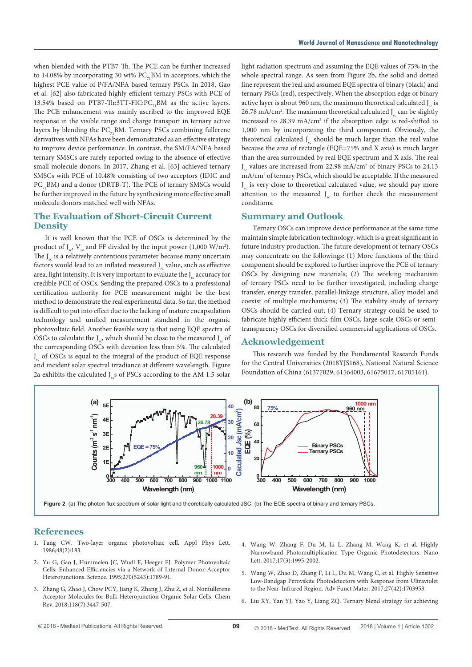when blended with the PTB7-Th. The PCE can be further increased to 14.08% by incorporating 30 wt%  $PC_{71}$ BM in acceptors, which the highest PCE value of P/FA/NFA based ternary PSCs. In 2018, Gao et al. [62] also fabricated highly efficient ternary PSCs with PCE of 13.54% based on PTB7-Th:3TT-FIC:PC<sub>71</sub>BM as the active layers. The PCE enhancement was mainly ascribed to the improved EQE response in the visible range and charge transport in ternary active layers by blending the  $PC_{71}$ BM. Ternary PSCs combining fullerene derivatives with NFAs have been demonstrated as an effective strategy to improve device performance. In contrast, the SM/FA/NFA based ternary SMSCs are rarely reported owing to the absence of effective small molecule donors. In 2017, Zhang et al. [63] achieved ternary SMSCs with PCE of 10.48% consisting of two acceptors (IDIC and PC<sub>71</sub>BM) and a donor (DRTB-T). The PCE of ternary SMSCs would be further improved in the future by synthesizing more effective small molecule donors matched well with NFAs.

# **The Evaluation of Short-Circuit Current Density**

It is well known that the PCE of OSCs is determined by the product of  $J_{sc}$ ,  $V_{oc}$  and FF divided by the input power (1,000 W/m<sup>2</sup>). The J<sub>sc</sub> is a relatively contentious parameter because many uncertain factors would lead to an inflated measured J<sub>sc</sub> value, such as effective area, light intensity. It is very important to evaluate the J<sub>sc</sub> accuracy for credible PCE of OSCs. Sending the prepared OSCs to a professional certification authority for PCE measurement might be the best method to demonstrate the real experimental data. So far, the method is difficult to put into effect due to the lacking of mature encapsulation technology and unified measurement standard in the organic photovoltaic field. Another feasible way is that using EQE spectra of OSCs to calculate the  $J_{ss}$ , which should be close to the measured  $J_{ss}$  of the corresponding OSCs with deviation less than 5%. The calculated J sc of OSCs is equal to the integral of the product of EQE response and incident solar spectral irradiance at different wavelength. Figure 2a exhibits the calculated  $J_s$ s of PSCs according to the AM 1.5 solar

light radiation spectrum and assuming the EQE values of 75% in the whole spectral range. As seen from Figure 2b, the solid and dotted line represent the real and assumed EQE spectra of binary (black) and ternary PSCs (red), respectively. When the absorption edge of binary active layer is about 960 nm, the maximum theoretical calculated J<sub>u</sub> is 26.78 mA/cm<sup>2</sup>. The maximum theoretical calculated  $J_{sc}$  can be slightly increased to 28.39 mA/cm<sup>2</sup> if the absorption edge is red-shifted to 1,000 nm by incorporating the third component. Obviously, the theoretical calculated J<sub>sc</sub> should be much larger than the real value because the area of rectangle (EQE=75% and X axis) is much larger than the area surrounded by real EQE spectrum and X axis. The real J sc values are increased from 22.98 mA/cm2 of binary PSCs to 24.13 mA/cm2 of ternary PSCs, which should be acceptable. If the measured J sc is very close to theoretical calculated value, we should pay more attention to the measured  $J_{cs}$  to further check the measurement conditions.

## **Summary and Outlook**

Ternary OSCs can improve device performance at the same time maintain simple fabrication technology, which is a great significant in future industry production. The future development of ternary OSCs may concentrate on the followings: (1) More functions of the third component should be explored to further improve the PCE of ternary OSCs by designing new materials; (2) The working mechanism of ternary PSCs need to be further investigated, including charge transfer, energy transfer, parallel-linkage structure, alloy model and coexist of multiple mechanisms; (3) The stability study of ternary OSCs should be carried out; (4) Ternary strategy could be used to fabricate highly efficient thick-film OSCs, large-scale OSCs or semitransparency OSCs for diversified commercial applications of OSCs.

# **Acknowledgement**

This research was funded by the Fundamental Research Funds for the Central Universities (2018YJS168), National Natural Science Foundation of China (61377029, 61564003, 61675017, 61705161).



#### **References**

- 1. [Tang CW. Two-layer organic photovoltaic cell. Appl Phys Lett.](https://aip.scitation.org/doi/10.1063/1.96937)  [1986;48\(2\):183.](https://aip.scitation.org/doi/10.1063/1.96937)
- 2. [Yu G, Gao J, Hummelen JC, Wudl F, Heeger FJ. Polymer Photovoltaic](http://science.sciencemag.org/content/270/5243/1789/tab-article-info)  [Cells: Enhanced Efficiencies via a Network of Internal Donor-Acceptor](http://science.sciencemag.org/content/270/5243/1789/tab-article-info)  [Heterojunctions. Science. 1995;270\(5243\):1789-91.](http://science.sciencemag.org/content/270/5243/1789/tab-article-info)
- 3. [Zhang G, Zhao J, Chow PCY, Jiang K, Zhang J, Zhu Z, et al. Nonfullerene](https://www.ncbi.nlm.nih.gov/pubmed/29557657)  [Acceptor Molecules for Bulk Heterojunction Organic Solar Cells. Chem](https://www.ncbi.nlm.nih.gov/pubmed/29557657)  [Rev. 2018;118\(7\):3447-507.](https://www.ncbi.nlm.nih.gov/pubmed/29557657)
- 4. [Wang W, Zhang F, Du M, Li L, Zhang M, Wang K, et al. Highly](https://pubs.acs.org/doi/abs/10.1021/acs.nanolett.6b05418)  [Narrowband Photomultiplication Type Organic Photodetectors. Nano](https://pubs.acs.org/doi/abs/10.1021/acs.nanolett.6b05418)  [Lett. 2017;17\(3\):1995-2002.](https://pubs.acs.org/doi/abs/10.1021/acs.nanolett.6b05418)
- 5. [Wang W, Zhao D, Zhang F, Li L, Du M, Wang C, et al. Highly Sensitive](https://onlinelibrary.wiley.com/doi/abs/10.1002/adfm.201703953)  [Low-Bandgap Perovskite Photodetectors with Response from Ultraviolet](https://onlinelibrary.wiley.com/doi/abs/10.1002/adfm.201703953)  [to the Near-Infrared Region. Adv Funct Mater. 2017;27\(42\):1703953.](https://onlinelibrary.wiley.com/doi/abs/10.1002/adfm.201703953)
- 6. [Liu XY, Yan YJ, Yao Y, Liang ZQ. Ternary blend strategy for achieving](https://onlinelibrary.wiley.com/doi/abs/10.1002/adfm.201802004)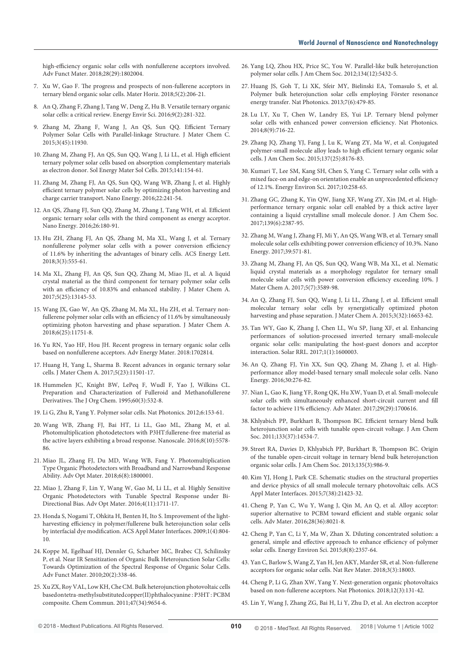[high-efficiency organic solar cells with nonfullerene acceptors involved.](https://onlinelibrary.wiley.com/doi/abs/10.1002/adfm.201802004)  [Adv Funct Mater. 2018;28\(29\):1802004.](https://onlinelibrary.wiley.com/doi/abs/10.1002/adfm.201802004)

- 7. [Xu W, Gao F. The progress and prospects of non-fullerene acceptors in](https://pubs.rsc.org/en/content/articlelanding/2018/mh/c7mh00958e#!divAbstract)  [ternary blend organic solar cells. Mater Horiz. 2018;5\(2\):206-21.](https://pubs.rsc.org/en/content/articlelanding/2018/mh/c7mh00958e#!divAbstract)
- 8. [An Q, Zhang F, Zhang J, Tang W, Deng Z, Hu B. Versatile ternary organic](https://pubs.rsc.org/en/content/articlelanding/2016/ee/c5ee02641e#!divAbstract)  [solar cells: a critical review. Energy Envir Sci. 2016;9\(2\):281-322.](https://pubs.rsc.org/en/content/articlelanding/2016/ee/c5ee02641e#!divAbstract)
- 9. [Zhang M, Zhang F, Wang J, An QS, Sun QQ. Efficient Ternary](https://www.researchgate.net/publication/283634403_Efficient_Ternary_Polymer_Solar_Cells_with_Parallel-linkage_Structure)  [Polymer Solar Cells with Parallel-linkage Structure. J Mater Chem C.](https://www.researchgate.net/publication/283634403_Efficient_Ternary_Polymer_Solar_Cells_with_Parallel-linkage_Structure)  [2015;3\(45\):11930.](https://www.researchgate.net/publication/283634403_Efficient_Ternary_Polymer_Solar_Cells_with_Parallel-linkage_Structure)
- 10. [Zhang M, Zhang FJ, An QS, Sun QQ, Wang J, Li LL, et al. High efficient](https://www.sciencedirect.com/science/article/pii/S0927024815002482)  [ternary polymer solar cells based on absorption complementary materials](https://www.sciencedirect.com/science/article/pii/S0927024815002482)  [as electron donor. Sol Energy Mater Sol Cells. 2015;141:154-61.](https://www.sciencedirect.com/science/article/pii/S0927024815002482)
- 11. [Zhang M, Zhang FJ, An QS, Sun QQ, Wang WB, Zhang J, et al. Highly](https://www.sciencedirect.com/science/article/pii/S2211285516000835)  [efficient ternary polymer solar cells by optimizing photon harvesting and](https://www.sciencedirect.com/science/article/pii/S2211285516000835)  [charge carrier transport. Nano Energy. 2016;22:241-54.](https://www.sciencedirect.com/science/article/pii/S2211285516000835)
- 12. [An QS, Zhang FJ, Sun QQ, Zhang M, Zhang J, Tang WH, et al. Efficient](https://www.sciencedirect.com/science/article/pii/S2211285516301422)  [organic ternary solar cells with the third component as energy acceptor.](https://www.sciencedirect.com/science/article/pii/S2211285516301422)  [Nano Energy. 2016;26:180-91.](https://www.sciencedirect.com/science/article/pii/S2211285516301422)
- 13. [Hu ZH, Zhang FJ, An QS, Zhang M, Ma XL, Wang J, et al. Ternary](https://pubs.acs.org/doi/abs/10.1021/acsenergylett.8b00100)  [nonfullerene polymer solar cells with a power conversion efficiency](https://pubs.acs.org/doi/abs/10.1021/acsenergylett.8b00100)  [of 11.6% by inheriting the advantages of binary cells. ACS Energy Lett.](https://pubs.acs.org/doi/abs/10.1021/acsenergylett.8b00100)  [2018;3\(3\):555-61.](https://pubs.acs.org/doi/abs/10.1021/acsenergylett.8b00100)
- 14. Ma XL, Zhang FJ, An QS, Sun QQ, Zhang M, Miao JL, et al. A liquid crystal material as the third component for ternary polymer solar cells with an efficiency of 10.83% and enhanced stability. J Mater Chem A. 2017;5(25):13145-53.
- 15. [Wang JX, Gao W, An QS, Zhang M, Ma XL, Hu ZH, et al. Ternary non](https://pubs.rsc.org/en/content/articlelanding/2018/ta/c8ta03453b#!divAbstract)[fullerene polymer solar cells with an efficiency of 11.6% by simultaneously](https://pubs.rsc.org/en/content/articlelanding/2018/ta/c8ta03453b#!divAbstract)  [optimizing photon harvesting and phase separation. J Mater Chem A.](https://pubs.rsc.org/en/content/articlelanding/2018/ta/c8ta03453b#!divAbstract)  [2018;6\(25\):11751-8.](https://pubs.rsc.org/en/content/articlelanding/2018/ta/c8ta03453b#!divAbstract)
- 16. [Yu RN, Yao HF, Hou JH. Recent progress in ternary organic solar cells](https://www.researchgate.net/publication/322377522_Recent_Progress_in_Ternary_Organic_Solar_Cells_Based_on_Nonfullerene_Acceptors)  [based on nonfullerene acceptors. Adv Energy Mater. 2018:1702814.](https://www.researchgate.net/publication/322377522_Recent_Progress_in_Ternary_Organic_Solar_Cells_Based_on_Nonfullerene_Acceptors)
- 17. [Huang H, Yang L, Sharma B. Recent advances in organic ternary solar](https://pubs.rsc.org/en/content/articlelanding/2017/ta/c7ta00887b#!divAbstract)  [cells. J Mater Chem A. 2017;5\(23\):11501-17.](https://pubs.rsc.org/en/content/articlelanding/2017/ta/c7ta00887b#!divAbstract)
- 18. [Hummelen JC, Knight BW, LePeq F, Wudl F, Yao J, Wilkins CL.](https://pubs.acs.org/doi/abs/10.1021/jo00108a012)  [Preparation and Characterization of Fulleroid and Methanofullerene](https://pubs.acs.org/doi/abs/10.1021/jo00108a012)  [Derivatives. The J Org Chem. 1995;60\(3\):532-8.](https://pubs.acs.org/doi/abs/10.1021/jo00108a012)
- 19. [Li G, Zhu R, Yang Y. Polymer solar cells. Nat Photonics. 2012;6:153-61.](https://www.nature.com/articles/nphoton.2012.11)
- 20. [Wang WB, Zhang FJ, Bai HT, Li LL, Gao ML, Zhang M, et al.](http://pubs.rsc.org/en/content/articlelanding/2016/nr/c6nr00079g/unauth#!divAbstract)  [Photomultiplication photodetectors with P3HT:fullerene-free material as](http://pubs.rsc.org/en/content/articlelanding/2016/nr/c6nr00079g/unauth#!divAbstract)  [the active layers exhibiting a broad response. Nanoscale. 2016;8\(10\):5578-](http://pubs.rsc.org/en/content/articlelanding/2016/nr/c6nr00079g/unauth#!divAbstract) [86.](http://pubs.rsc.org/en/content/articlelanding/2016/nr/c6nr00079g/unauth#!divAbstract)
- 21. [Miao JL, Zhang FJ, Du MD, Wang WB, Fang Y. Photomultiplication](https://www.researchgate.net/publication/322852972_Photomultiplication_Type_Organic_Photodetectors_with_Broadband_and_Narrowband_Response_Ability)  [Type Organic Photodetectors with Broadband and Narrowband Response](https://www.researchgate.net/publication/322852972_Photomultiplication_Type_Organic_Photodetectors_with_Broadband_and_Narrowband_Response_Ability)  [Ability. Adv Opt Mater. 2018;6\(8\):1800001.](https://www.researchgate.net/publication/322852972_Photomultiplication_Type_Organic_Photodetectors_with_Broadband_and_Narrowband_Response_Ability)
- 22. [Miao J, Zhang F, Lin Y, Wang W, Gao M, Li LL, et al. Highly Sensitive](https://onlinelibrary.wiley.com/doi/10.1002/adom.201600387)  [Organic Photodetectors with Tunable Spectral Response under Bi-](https://onlinelibrary.wiley.com/doi/10.1002/adom.201600387)[Directional Bias. Adv Opt Mater. 2016;4\(11\):1711-17.](https://onlinelibrary.wiley.com/doi/10.1002/adom.201600387)
- 23. [Honda S, Nogami T, Ohkita H, Benten H, Ito S. Improvement of the light](https://www.ncbi.nlm.nih.gov/pubmed/20356005)[harvesting efficiency in polymer/fullerene bulk heterojunction solar cells](https://www.ncbi.nlm.nih.gov/pubmed/20356005)  [by interfacial dye modification. ACS Appl Mater Interfaces. 2009;1\(4\):804-](https://www.ncbi.nlm.nih.gov/pubmed/20356005) [10.](https://www.ncbi.nlm.nih.gov/pubmed/20356005)
- 24. [Koppe M, Egelhaaf HJ, Dennler G, Scharber MC, Brabec CJ, Schilinsky](https://onlinelibrary.wiley.com/toc/16163028/20/2)  [P, et al. Near IR Sensitization of Organic Bulk Heterojunction Solar Cells:](https://onlinelibrary.wiley.com/toc/16163028/20/2)  [Towards Optimization of the Spectral Response of Organic Solar Cells.](https://onlinelibrary.wiley.com/toc/16163028/20/2)  [Adv Funct Mater. 2010;20\(2\):338-46.](https://onlinelibrary.wiley.com/toc/16163028/20/2)
- 25. [Xu ZX, Roy VAL, Low KH, Che CM. Bulk heterojunction photovoltaic cells](http://pubs.rsc.org/en/content/articlelanding/2011/cc/c1cc13827h#!divAbstract)  [based on tetra-methyl substituted copper\(II\) phthalocyanine](http://pubs.rsc.org/en/content/articlelanding/2011/cc/c1cc13827h#!divAbstract) : P3HT : PCBM [composite. Chem Commun. 2011;47\(34\):9654-6.](http://pubs.rsc.org/en/content/articlelanding/2011/cc/c1cc13827h#!divAbstract)
- 26. [Yang LQ, Zhou HX, Price SC, You W. Parallel-like bulk heterojunction](https://pubs.acs.org/doi/10.1021/ja211597w)  [polymer solar cells. J Am Chem Soc. 2012;134\(12\):5432-5.](https://pubs.acs.org/doi/10.1021/ja211597w)
- 27. [Huang JS, Goh T, Li XK, Sfeir MY, Bielinski EA, Tomasulo S, et al.](https://experts.illinois.edu/en/publications/polymer-bulk-heterojunction-solar-cells-employing-f�rster-resonan)  [Polymer bulk heterojunction solar cells employing Förster resonance](https://experts.illinois.edu/en/publications/polymer-bulk-heterojunction-solar-cells-employing-f�rster-resonan)  [energy transfer. Nat Photonics. 2013;7\(6\):479-85.](https://experts.illinois.edu/en/publications/polymer-bulk-heterojunction-solar-cells-employing-f�rster-resonan)
- 28. [Lu LY, Xu T, Chen W, Landry ES, Yui LP. Ternary blend polymer](https://www.nature.com/articles/nphoton.2014.172?lang=en)  [solar cells with enhanced power conversion efficiency. Nat Photonics.](https://www.nature.com/articles/nphoton.2014.172?lang=en)  [2014;8\(9\):716-22.](https://www.nature.com/articles/nphoton.2014.172?lang=en)
- 29. [Zhang JQ, Zhang YJ, Fang J, Lu K, Wang ZY, Ma W, et al. Conjugated](https://pubs.acs.org/doi/10.1021/jacs.5b03449)  [polymer-small molecule alloy leads to high efficient ternary organic solar](https://pubs.acs.org/doi/10.1021/jacs.5b03449)  [cells. J Am Chem Soc. 2015;137\(25\):8176-83.](https://pubs.acs.org/doi/10.1021/jacs.5b03449)
- 30. [Kumari T, Lee SM, Kang SH, Chen S, Yang C. Ternary solar cells with a](https://pubs.rsc.org/en/content/articlelanding/2017/ee/c6ee02851a#!divAbstract)  [mixed face-on and edge-on orientation enable an unprecedented efficiency](https://pubs.rsc.org/en/content/articlelanding/2017/ee/c6ee02851a#!divAbstract)  [of 12.1%. Energy Environ Sci. 2017;10:258-65.](https://pubs.rsc.org/en/content/articlelanding/2017/ee/c6ee02851a#!divAbstract)
- 31. [Zhang GC, Zhang K, Yin QW, Jiang XF, Wang ZY, Xin JM, et al. High](https://pubs.acs.org/doi/10.1021/jacs.6b11991)[performance ternary organic solar cell enabled by a thick active layer](https://pubs.acs.org/doi/10.1021/jacs.6b11991)  [containing a liquid crystalline small molecule donor. J Am Chem Soc.](https://pubs.acs.org/doi/10.1021/jacs.6b11991)  [2017;139\(6\):2387-95.](https://pubs.acs.org/doi/10.1021/jacs.6b11991)
- 32. [Zhang M, Wang J, Zhang FJ, Mi Y, An QS, Wang WB, et al. Ternary small](https://www.sciencedirect.com/science/article/pii/S2211285517304573)  [molecule solar cells exhibiting power conversion efficiency of 10.3%. Nano](https://www.sciencedirect.com/science/article/pii/S2211285517304573)  [Energy. 2017;39:571-81.](https://www.sciencedirect.com/science/article/pii/S2211285517304573)
- 33. [Zhang M, Zhang FJ, An QS, Sun QQ, Wang WB, Ma XL, et al. Nematic](https://pubs.rsc.org/en/content/articlelanding/2017/ta/c7ta00211d)  [liquid crystal materials as a morphology regulator for ternary small](https://pubs.rsc.org/en/content/articlelanding/2017/ta/c7ta00211d)  [molecule solar cells with power conversion efficiency exceeding 10%. J](https://pubs.rsc.org/en/content/articlelanding/2017/ta/c7ta00211d)  [Mater Chem A. 2017;5\(7\):3589-98.](https://pubs.rsc.org/en/content/articlelanding/2017/ta/c7ta00211d)
- 34. [An Q, Zhang FJ, Sun QQ, Wang J, Li LL, Zhang J, et al. Efficient small](https://pubs.rsc.org/en/content/articlelanding/2015/ta/c5ta04243g#!divAbstract)  [molecular ternary solar cells by synergistically optimized photon](https://pubs.rsc.org/en/content/articlelanding/2015/ta/c5ta04243g#!divAbstract)  [harvesting and phase separation. J Mater Chem A. 2015;3\(32\):16653-62.](https://pubs.rsc.org/en/content/articlelanding/2015/ta/c5ta04243g#!divAbstract)
- 35. [Tan WY, Gao K, Zhang J, Chen LL, Wu SP, Jiang XF, et al. Enhancing](https://onlinelibrary.wiley.com/doi/full/10.1002/solr.201600003)  [performances of solution-processed inverted ternary small-molecule](https://onlinelibrary.wiley.com/doi/full/10.1002/solr.201600003)  [organic solar cells: manipulating the host-guest donors and acceptor](https://onlinelibrary.wiley.com/doi/full/10.1002/solr.201600003)  [interaction. Solar RRL. 2017;1\(1\):1600003.](https://onlinelibrary.wiley.com/doi/full/10.1002/solr.201600003)
- 36. [An Q, Zhang FJ, Yin XX, Sun QQ, Zhang M, Zhang J, et al. High](https://scholar.google.com/citations?user=CLuDho4AAAAJ&hl=en#d=gs_md_cita-d&p=&u=%2Fcitations%3Fview_op%3Dview_citation%26hl%3Den%26user%3DCLuDho4AAAAJ%26citation_for_view%3DCLuDho4AAAAJ%3Au-x6o8ySG0sC%26tzom%3D-330)[performance alloy model-based ternary small molecule solar cells. Nano](https://scholar.google.com/citations?user=CLuDho4AAAAJ&hl=en#d=gs_md_cita-d&p=&u=%2Fcitations%3Fview_op%3Dview_citation%26hl%3Den%26user%3DCLuDho4AAAAJ%26citation_for_view%3DCLuDho4AAAAJ%3Au-x6o8ySG0sC%26tzom%3D-330)  [Energy. 2016;30:276-82.](https://scholar.google.com/citations?user=CLuDho4AAAAJ&hl=en#d=gs_md_cita-d&p=&u=%2Fcitations%3Fview_op%3Dview_citation%26hl%3Den%26user%3DCLuDho4AAAAJ%26citation_for_view%3DCLuDho4AAAAJ%3Au-x6o8ySG0sC%26tzom%3D-330)
- 37. [Nian L, Gao K, Jiang YF, Rong QK, Hu XW, Yuan D, et al. Small-molecule](https://pubarchive.lbl.gov/islandora/object/ir%3A1007873)  [solar cells with simultaneously enhanced short-circuit current and fill](https://pubarchive.lbl.gov/islandora/object/ir%3A1007873)  [factor to achieve 11% efficiency. Adv Mater. 2017;29\(29\):1700616.](https://pubarchive.lbl.gov/islandora/object/ir%3A1007873)
- 38. [Khlyabich PP, Burkhart B, Thompson BC. Efficient ternary blend bulk](https://pubs.acs.org/doi/10.1021/ja205977z)  [heterojunction solar cells with tunable open-circuit voltage. J Am Chem](https://pubs.acs.org/doi/10.1021/ja205977z)  [Soc. 2011;133\(37\):14534-7.](https://pubs.acs.org/doi/10.1021/ja205977z)
- 39. [Street RA, Davies D, Khlyabich PP, Burkhart B, Thompson BC. Origin](https://pubs.acs.org/doi/10.1021/ja3112143)  [of the tunable open-circuit voltage in ternary blend bulk heterojunction](https://pubs.acs.org/doi/10.1021/ja3112143)  [organic solar cells. J Am Chem Soc. 2013;135\(3\):986-9.](https://pubs.acs.org/doi/10.1021/ja3112143)
- 40. [Kim YJ, Hong J, Park CE. Schematic studies on the structural properties](https://pubs.acs.org/doi/abs/10.1021/acsami.5b06365)  [and device physics of all small molecule ternary photovoltaic cells. ACS](https://pubs.acs.org/doi/abs/10.1021/acsami.5b06365)  [Appl Mater Interfaces. 2015;7\(38\):21423-32.](https://pubs.acs.org/doi/abs/10.1021/acsami.5b06365)
- 41. [Cheng P, Yan C, Wu Y, Wang J, Qin M, An Q, et al. Alloy acceptor:](https://www.ncbi.nlm.nih.gov/pubmed/27337385)  [superior alternative to PCBM toward efficient and stable organic solar](https://www.ncbi.nlm.nih.gov/pubmed/27337385)  [cells. Adv Mater. 2016;28\(36\):8021-8.](https://www.ncbi.nlm.nih.gov/pubmed/27337385)
- 42. Cheng P, Yan C, Li Y, Ma W, Zhan X. Diluting concentrated solution: a general, simple and effective approach to enhance efficiency of polymer solar cells. Energy Environ Sci. 2015;8(8):2357-64.
- 43. [Yan C, Barlow S, Wang Z, Yan H, Jen AKY, Marder SR, et al. Non-fullerene](https://www.nature.com/articles/natrevmats20183)  [acceptors for organic solar cells. Nat Rev Mater. 2018;3\(3\):18003.](https://www.nature.com/articles/natrevmats20183)
- 44. [Cheng P, Li G, Zhan XW, Yang Y. Next-generation organic photovoltaics](http://adsabs.harvard.edu/abs/2018NaPho..12..131C)  [based on non-fullerene acceptors. Nat Photonics. 2018;12\(3\):131-42.](http://adsabs.harvard.edu/abs/2018NaPho..12..131C)
- 45. [Lin Y, Wang J, Zhang ZG, Bai H, Li Y, Zhu D, et al. An electron acceptor](https://www.ncbi.nlm.nih.gov/pubmed/25580826)